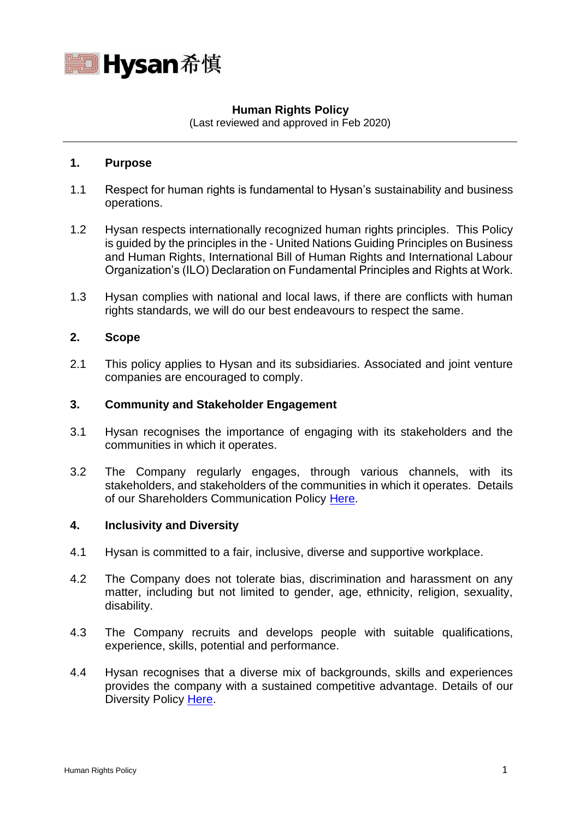

# **Human Rights Policy**

(Last reviewed and approved in Feb 2020)

## **1. Purpose**

- 1.1 Respect for human rights is fundamental to Hysan's sustainability and business operations.
- 1.2 Hysan respects internationally recognized human rights principles. This Policy is guided by the principles in the - United Nations Guiding Principles on Business and Human Rights, International Bill of Human Rights and International Labour Organization's (ILO) Declaration on Fundamental Principles and Rights at Work.
- 1.3 Hysan complies with national and local laws, if there are conflicts with human rights standards, we will do our best endeavours to respect the same.

# **2. Scope**

2.1 This policy applies to Hysan and its subsidiaries. Associated and joint venture companies are encouraged to comply.

## **3. Community and Stakeholder Engagement**

- 3.1 Hysan recognises the importance of engaging with its stakeholders and the communities in which it operates.
- 3.2 The Company regularly engages, through various channels, with its stakeholders, and stakeholders of the communities in which it operates. Details of our Shareholders Communication Policy [Here.](https://www.hysan.com.hk/app/uploads/2020/10/05-eShareholders-communication-policy-2019.11.08-v3.3-exe.pdf)

#### **4. Inclusivity and Diversity**

- 4.1 Hysan is committed to a fair, inclusive, diverse and supportive workplace.
- 4.2 The Company does not tolerate bias, discrimination and harassment on any matter, including but not limited to gender, age, ethnicity, religion, sexuality, disability.
- 4.3 The Company recruits and develops people with suitable qualifications, experience, skills, potential and performance.
- 4.4 Hysan recognises that a diverse mix of backgrounds, skills and experiences provides the company with a sustained competitive advantage. Details of our Diversity Policy [Here.](https://www.hysan.com.hk/app/uploads/2021/01/e_Board-Diversity-Policy-Jan-2021.pdf)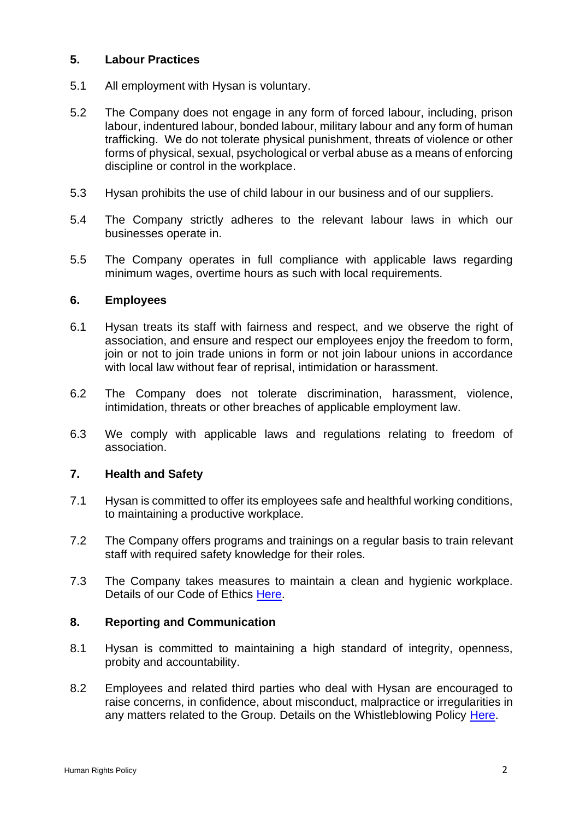## **5. Labour Practices**

- 5.1 All employment with Hysan is voluntary.
- 5.2 The Company does not engage in any form of forced labour, including, prison labour, indentured labour, bonded labour, military labour and any form of human trafficking. We do not tolerate physical punishment, threats of violence or other forms of physical, sexual, psychological or verbal abuse as a means of enforcing discipline or control in the workplace.
- 5.3 Hysan prohibits the use of child labour in our business and of our suppliers.
- 5.4 The Company strictly adheres to the relevant labour laws in which our businesses operate in.
- 5.5 The Company operates in full compliance with applicable laws regarding minimum wages, overtime hours as such with local requirements.

#### **6. Employees**

- 6.1 Hysan treats its staff with fairness and respect, and we observe the right of association, and ensure and respect our employees enjoy the freedom to form, join or not to join trade unions in form or not join labour unions in accordance with local law without fear of reprisal, intimidation or harassment.
- 6.2 The Company does not tolerate discrimination, harassment, violence, intimidation, threats or other breaches of applicable employment law.
- 6.3 We comply with applicable laws and regulations relating to freedom of association.

## **7. Health and Safety**

- 7.1 Hysan is committed to offer its employees safe and healthful working conditions, to maintaining a productive workplace.
- 7.2 The Company offers programs and trainings on a regular basis to train relevant staff with required safety knowledge for their roles.
- 7.3 The Company takes measures to maintain a clean and hygienic workplace. Details of our Code of Ethics [Here.](https://www.hysan.com.hk/app/uploads/2020/10/07-Section-I-B-Code-of-Ethics-v7-20191212-website.pdf)

#### **8. Reporting and Communication**

- 8.1 Hysan is committed to maintaining a high standard of integrity, openness, probity and accountability.
- 8.2 Employees and related third parties who deal with Hysan are encouraged to raise concerns, in confidence, about misconduct, malpractice or irregularities in any matters related to the Group. Details on the Whistleblowing Policy [Here.](https://www.hysan.com.hk/app/uploads/2020/10/06-eWhistleblowing-Policy-2019.11.26.pdf)